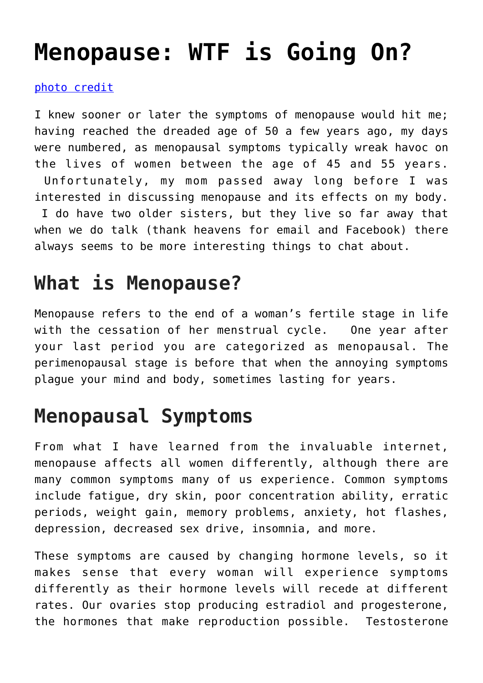# **[Menopause: WTF is Going On?](https://loreeebee.ca/2013/11/29/menopause/)**

#### [photo credit](https://www.pexels.com/photo/fashion-love-people-woman-7801365/)

I knew sooner or later the symptoms of menopause would hit me; having reached the dreaded age of 50 a few years ago, my days were numbered, as menopausal symptoms typically wreak havoc on the lives of women between the age of 45 and 55 years. Unfortunately, my mom passed away long before I was interested in discussing menopause and its effects on my body. I do have two older sisters, but they live so far away that when we do talk (thank heavens for email and Facebook) there always seems to be more interesting things to chat about.

## **What is Menopause?**

Menopause refers to the end of a woman's fertile stage in life with the cessation of her menstrual cycle. One year after your last period you are categorized as menopausal. The perimenopausal stage is before that when the annoying symptoms plague your mind and body, sometimes lasting for years.

#### **Menopausal Symptoms**

From what I have learned from the invaluable internet, menopause affects all women differently, although there are many common symptoms many of us experience. Common symptoms include fatigue, dry skin, poor concentration ability, erratic periods, weight gain, memory problems, anxiety, hot flashes, depression, decreased sex drive, insomnia, and more.

These symptoms are caused by changing hormone levels, so it makes sense that every woman will experience symptoms differently as their hormone levels will recede at different rates. Our ovaries stop producing estradiol and progesterone, the hormones that make reproduction possible. Testosterone